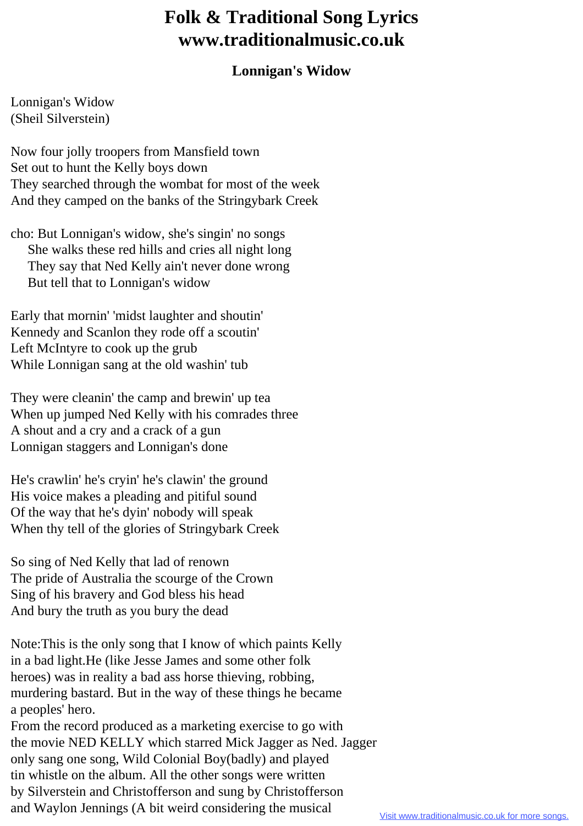## **Folk & Traditional Song Lyrics www.traditionalmusic.co.uk**

## **Lonnigan's Widow**

Lonnigan's Widow (Sheil Silverstein)

Now four jolly troopers from Mansfield town Set out to hunt the Kelly boys down They searched through the wombat for most of the week And they camped on the banks of the Stringybark Creek

cho: But Lonnigan's widow, she's singin' no songs She walks these red hills and cries all night long They say that Ned Kelly ain't never done wrong But tell that to Lonnigan's widow

Early that mornin' 'midst laughter and shoutin' Kennedy and Scanlon they rode off a scoutin' Left McIntyre to cook up the grub While Lonnigan sang at the old washin' tub

They were cleanin' the camp and brewin' up tea When up jumped Ned Kelly with his comrades three A shout and a cry and a crack of a gun Lonnigan staggers and Lonnigan's done

He's crawlin' he's cryin' he's clawin' the ground His voice makes a pleading and pitiful sound Of the way that he's dyin' nobody will speak When thy tell of the glories of Stringybark Creek

So sing of Ned Kelly that lad of renown The pride of Australia the scourge of the Crown Sing of his bravery and God bless his head And bury the truth as you bury the dead

Note:This is the only song that I know of which paints Kelly in a bad light.He (like Jesse James and some other folk heroes) was in reality a bad ass horse thieving, robbing, murdering bastard. But in the way of these things he became a peoples' hero.

From the record produced as a marketing exercise to go with the movie NED KELLY which starred Mick Jagger as Ned. Jagger only sang one song, Wild Colonial Boy(badly) and played tin whistle on the album. All the other songs were written by Silverstein and Christofferson and sung by Christofferson and Waylon Jennings (A bit weird considering the musical